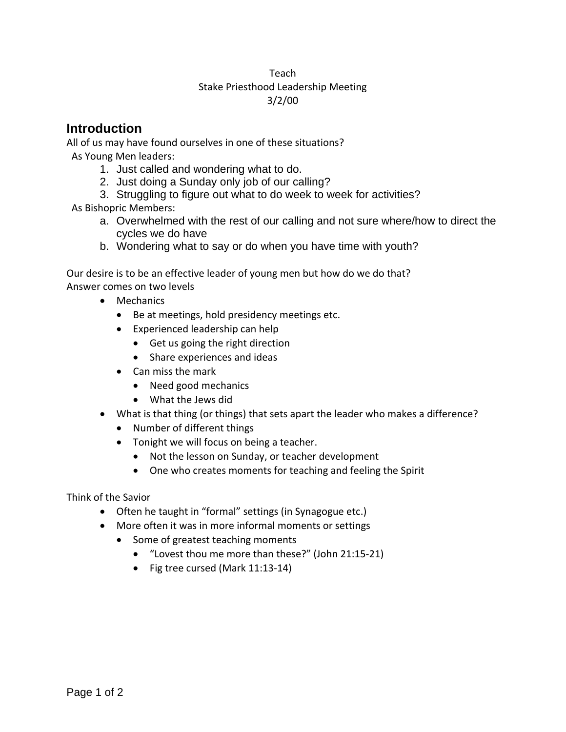## Teach Stake Priesthood Leadership Meeting 3/2/00

## **Introduction**

All of us may have found ourselves in one of these situations? As Young Men leaders:

- 1. Just called and wondering what to do.
- 2. Just doing a Sunday only job of our calling?
- 3. Struggling to figure out what to do week to week for activities?

As Bishopric Members:

- a. Overwhelmed with the rest of our calling and not sure where/how to direct the cycles we do have
- b. Wondering what to say or do when you have time with youth?

Our desire is to be an effective leader of young men but how do we do that? Answer comes on two levels

- Mechanics
	- Be at meetings, hold presidency meetings etc.
	- Experienced leadership can help
		- Get us going the right direction
		- Share experiences and ideas
	- Can miss the mark
		- Need good mechanics
		- What the Jews did
- What is that thing (or things) that sets apart the leader who makes a difference?
	- Number of different things
	- Tonight we will focus on being a teacher.
		- Not the lesson on Sunday, or teacher development
		- One who creates moments for teaching and feeling the Spirit

Think of the Savior

- Often he taught in "formal" settings (in Synagogue etc.)
- More often it was in more informal moments or settings
	- Some of greatest teaching moments
		- "Lovest thou me more than these?" (John 21:15‐21)
		- Fig tree cursed (Mark 11:13‐14)